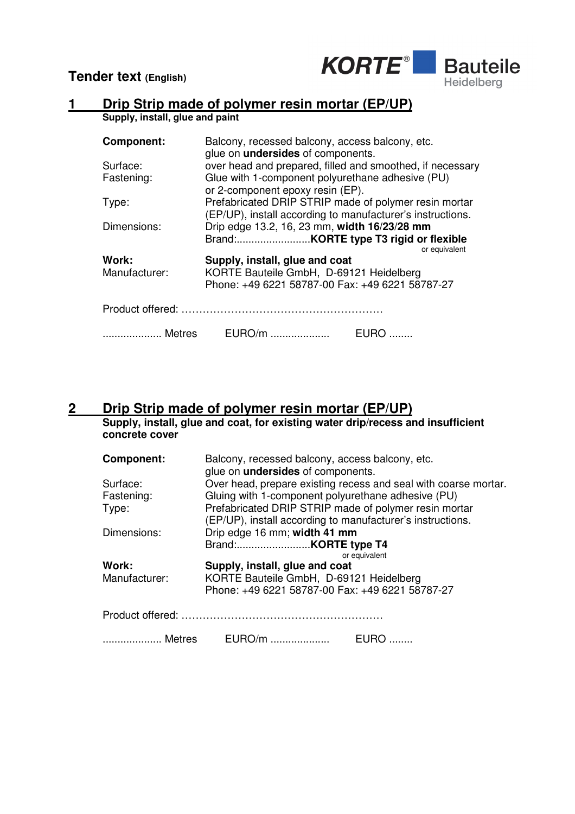**Tender text (English)**



## **1 Drip Strip made of polymer resin mortar (EP/UP)**

**Supply, install, glue and paint** 

| <b>Component:</b>                                                         | Balcony, recessed balcony, access balcony, etc.<br>glue on <i>undersides</i> of components. |               |
|---------------------------------------------------------------------------|---------------------------------------------------------------------------------------------|---------------|
| Surface:                                                                  | over head and prepared, filled and smoothed, if necessary                                   |               |
| Fastening:                                                                | Glue with 1-component polyurethane adhesive (PU)                                            |               |
|                                                                           | or 2-component epoxy resin (EP).                                                            |               |
| Type:                                                                     | Prefabricated DRIP STRIP made of polymer resin mortar                                       |               |
|                                                                           | (EP/UP), install according to manufacturer's instructions.                                  |               |
| Dimensions:                                                               | Drip edge 13.2, 16, 23 mm, width 16/23/28 mm                                                |               |
|                                                                           |                                                                                             |               |
| Work:                                                                     |                                                                                             | or equivalent |
| Supply, install, glue and coat<br>KORTE Bauteile GmbH, D-69121 Heidelberg |                                                                                             |               |
| Manufacturer:                                                             | Phone: +49 6221 58787-00 Fax: +49 6221 58787-27                                             |               |
|                                                                           |                                                                                             |               |
|                                                                           |                                                                                             |               |
|                                                                           |                                                                                             |               |
| Metres                                                                    | EURO/m                                                                                      | EURO          |

## **2 Drip Strip made of polymer resin mortar (EP/UP)**

**Supply, install, glue and coat, for existing water drip/recess and insufficient concrete cover** 

| <b>Component:</b> | Balcony, recessed balcony, access balcony, etc.<br>glue on <i>undersides</i> of components. |  |
|-------------------|---------------------------------------------------------------------------------------------|--|
| Surface:          | Over head, prepare existing recess and seal with coarse mortar.                             |  |
| Fastening:        | Gluing with 1-component polyurethane adhesive (PU)                                          |  |
| Type:             | Prefabricated DRIP STRIP made of polymer resin mortar                                       |  |
|                   | (EP/UP), install according to manufacturer's instructions.                                  |  |
| Dimensions:       | Drip edge 16 mm; width 41 mm                                                                |  |
|                   |                                                                                             |  |
|                   | or equivalent                                                                               |  |
| Work:             | Supply, install, glue and coat                                                              |  |
| Manufacturer:     | KORTE Bauteile GmbH, D-69121 Heidelberg                                                     |  |
|                   | Phone: +49 6221 58787-00 Fax: +49 6221 58787-27                                             |  |
|                   |                                                                                             |  |
| Metres            | EURO/m<br>EURO.                                                                             |  |